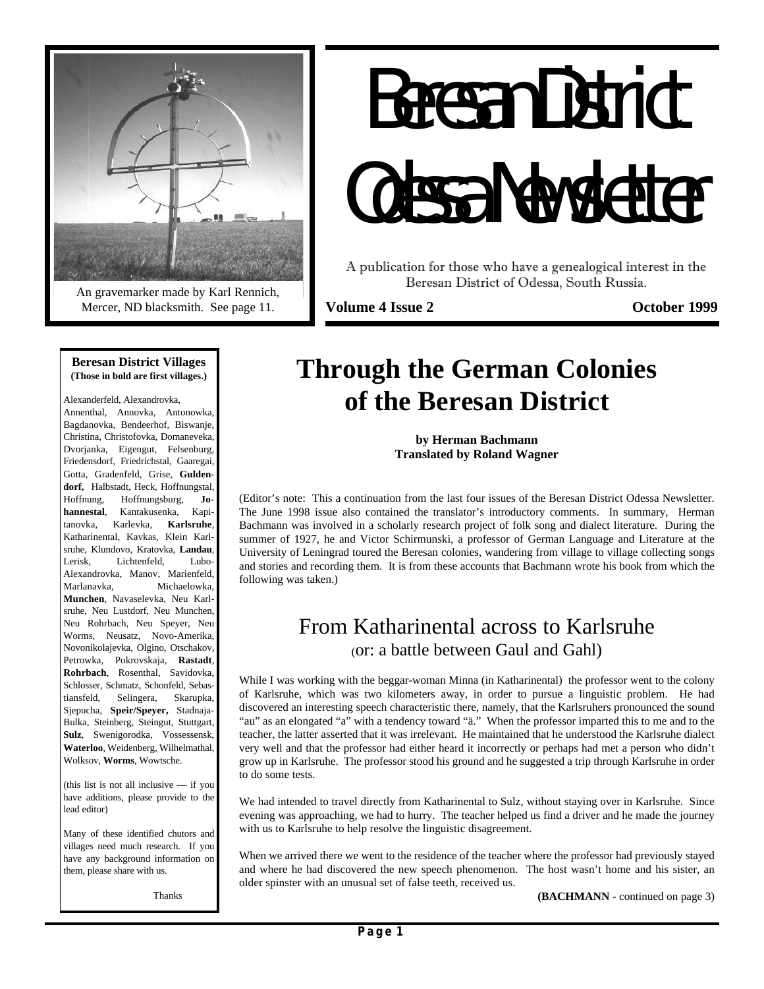

An gravemarker made by Karl Rennich, Mercer, ND blacksmith. See page 11.

# Beresan District Odessa Newsletter

A publication for those who have a genealogical interest in the Beresan District of Odessa, South Russia.

**Volume 4 Issue 2** Colomber 1999

#### **Beresan District Villages (Those in bold are first villages.)**

Alexanderfeld, Alexandrovka, Annenthal, Annovka, Antonowka, Bagdanovka, Bendeerhof, Biswanje, Christina, Christofovka, Domaneveka, Dvorjanka, Eigengut, Felsenburg, Friedensdorf, Friedrichstal, Gaaregai, Gotta, Gradenfeld, Grise, **Guldendorf,** Halbstadt, Heck, Hoffnungstal, Hoffnung, Hoffnungsburg, **Johannestal**, Kantakusenka, Kapitanovka, Karlevka, **Karlsruhe**, Katharinental, Kavkas, Klein Karlsruhe, Klundovo, Kratovka, **Landau**, Lerisk, Lichtenfeld, Lubo-Alexandrovka, Manov, Marienfeld, Marlanavka, Michaelowka, **Munchen**, Navaselevka, Neu Karlsruhe, Neu Lustdorf, Neu Munchen, Neu Rohrbach, Neu Speyer, Neu Worms, Neusatz, Novo-Amerika, Novonikolajevka, Olgino, Otschakov, Petrowka, Pokrovskaja, **Rastadt**, **Rohrbach**, Rosenthal, Savidovka, Schlosser, Schmatz, Schonfeld, Sebastiansfeld, Selingera, Skarupka, Sjepucha, **Speir/Speyer,** Stadnaja-Bulka, Steinberg, Steingut, Stuttgart, **Sulz**, Swenigorodka, Vossessensk, **Waterloo**, Weidenberg, Wilhelmathal, Wolksov, **Worms**, Wowtsche.

(this list is not all inclusive — if you have additions, please provide to the lead editor)

Many of these identified chutors and villages need much research. If you have any background information on them, please share with us.

Thanks

# **Through the German Colonies of the Beresan District**

**by Herman Bachmann Translated by Roland Wagner**

(Editor's note: This a continuation from the last four issues of the Beresan District Odessa Newsletter. The June 1998 issue also contained the translator's introductory comments. In summary, Herman Bachmann was involved in a scholarly research project of folk song and dialect literature. During the summer of 1927, he and Victor Schirmunski, a professor of German Language and Literature at the University of Leningrad toured the Beresan colonies, wandering from village to village collecting songs and stories and recording them. It is from these accounts that Bachmann wrote his book from which the following was taken.)

# From Katharinental across to Karlsruhe (or: a battle between Gaul and Gahl)

While I was working with the beggar-woman Minna (in Katharinental) the professor went to the colony of Karlsruhe, which was two kilometers away, in order to pursue a linguistic problem. He had discovered an interesting speech characteristic there, namely, that the Karlsruhers pronounced the sound "au" as an elongated "a" with a tendency toward "ä." When the professor imparted this to me and to the teacher, the latter asserted that it was irrelevant. He maintained that he understood the Karlsruhe dialect very well and that the professor had either heard it incorrectly or perhaps had met a person who didn't grow up in Karlsruhe. The professor stood his ground and he suggested a trip through Karlsruhe in order to do some tests.

We had intended to travel directly from Katharinental to Sulz, without staying over in Karlsruhe. Since evening was approaching, we had to hurry. The teacher helped us find a driver and he made the journey with us to Karlsruhe to help resolve the linguistic disagreement.

When we arrived there we went to the residence of the teacher where the professor had previously stayed and where he had discovered the new speech phenomenon. The host wasn't home and his sister, an older spinster with an unusual set of false teeth, received us.

**(BACHMANN** - continued on page 3)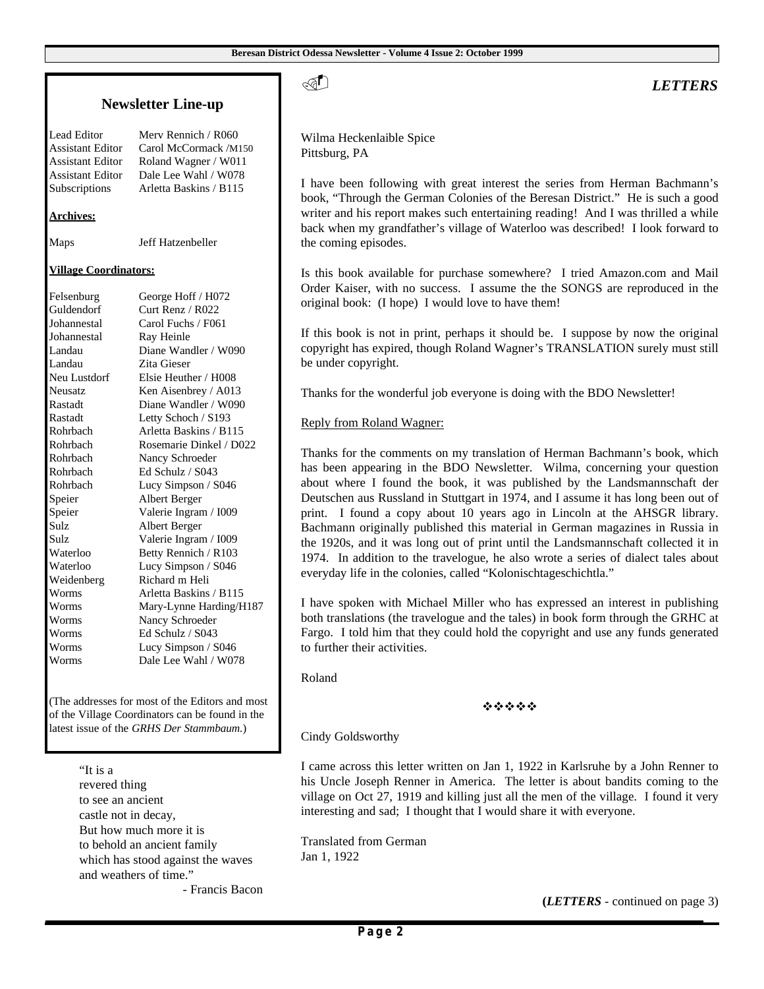#### **Newsletter Line-up**

Lead Editor Merv Rennich / R060 Subscriptions Arletta Baskins / B115

Assistant Editor Carol McCormack /M150 Assistant Editor Roland Wagner / W011 Assistant Editor Dale Lee Wahl / W078

#### **Archives:**

Maps Jeff Hatzenbeller

#### **Village Coordinators:**

Felsenburg George Hoff / H072 Guldendorf Curt Renz / R022 Johannestal Carol Fuchs / F061 Johannestal Ray Heinle Landau Diane Wandler / W090 Landau Zita Gieser Neu Lustdorf Elsie Heuther / H008 Neusatz Ken Aisenbrey / A013 Rastadt Diane Wandler / W090 Rastadt Letty Schoch / S193 Rohrbach Arletta Baskins / B115 Rohrbach Rosemarie Dinkel / D022 Rohrbach Nancy Schroeder Rohrbach Ed Schulz / S043 Rohrbach Lucy Simpson / S046 Speier Albert Berger Speier Valerie Ingram / I009 Sulz Albert Berger Sulz Valerie Ingram / I009 Waterloo Betty Rennich / R103 Waterloo Lucy Simpson / S046 Weidenberg Richard m Heli Worms Arletta Baskins / B115 Worms Mary-Lynne Harding/H187 Worms Nancy Schroeder Worms Ed Schulz / S043 Worms Lucy Simpson / S046 Worms Dale Lee Wahl / W078

(The addresses for most of the Editors and most of the Village Coordinators can be found in the latest issue of the *GRHS Der Stammbaum.*)

> "It is a revered thing to see an ancient castle not in decay, But how much more it is to behold an ancient family which has stood against the waves and weathers of time."

> > - Francis Bacon

. *LETTERS*

Wilma Heckenlaible Spice Pittsburg, PA

I have been following with great interest the series from Herman Bachmann's book, "Through the German Colonies of the Beresan District." He is such a good writer and his report makes such entertaining reading! And I was thrilled a while back when my grandfather's village of Waterloo was described! I look forward to the coming episodes.

Is this book available for purchase somewhere? I tried Amazon.com and Mail Order Kaiser, with no success. I assume the the SONGS are reproduced in the original book: (I hope) I would love to have them!

If this book is not in print, perhaps it should be. I suppose by now the original copyright has expired, though Roland Wagner's TRANSLATION surely must still be under copyright.

Thanks for the wonderful job everyone is doing with the BDO Newsletter!

#### Reply from Roland Wagner:

Thanks for the comments on my translation of Herman Bachmann's book, which has been appearing in the BDO Newsletter. Wilma, concerning your question about where I found the book, it was published by the Landsmannschaft der Deutschen aus Russland in Stuttgart in 1974, and I assume it has long been out of print. I found a copy about 10 years ago in Lincoln at the AHSGR library. Bachmann originally published this material in German magazines in Russia in the 1920s, and it was long out of print until the Landsmannschaft collected it in 1974. In addition to the travelogue, he also wrote a series of dialect tales about everyday life in the colonies, called "Kolonischtageschichtla."

I have spoken with Michael Miller who has expressed an interest in publishing both translations (the travelogue and the tales) in book form through the GRHC at Fargo. I told him that they could hold the copyright and use any funds generated to further their activities.

Roland

 $\phi$   $\phi$   $\phi$   $\phi$ 

Cindy Goldsworthy

I came across this letter written on Jan 1, 1922 in Karlsruhe by a John Renner to his Uncle Joseph Renner in America. The letter is about bandits coming to the village on Oct 27, 1919 and killing just all the men of the village. I found it very interesting and sad; I thought that I would share it with everyone.

Translated from German Jan 1, 1922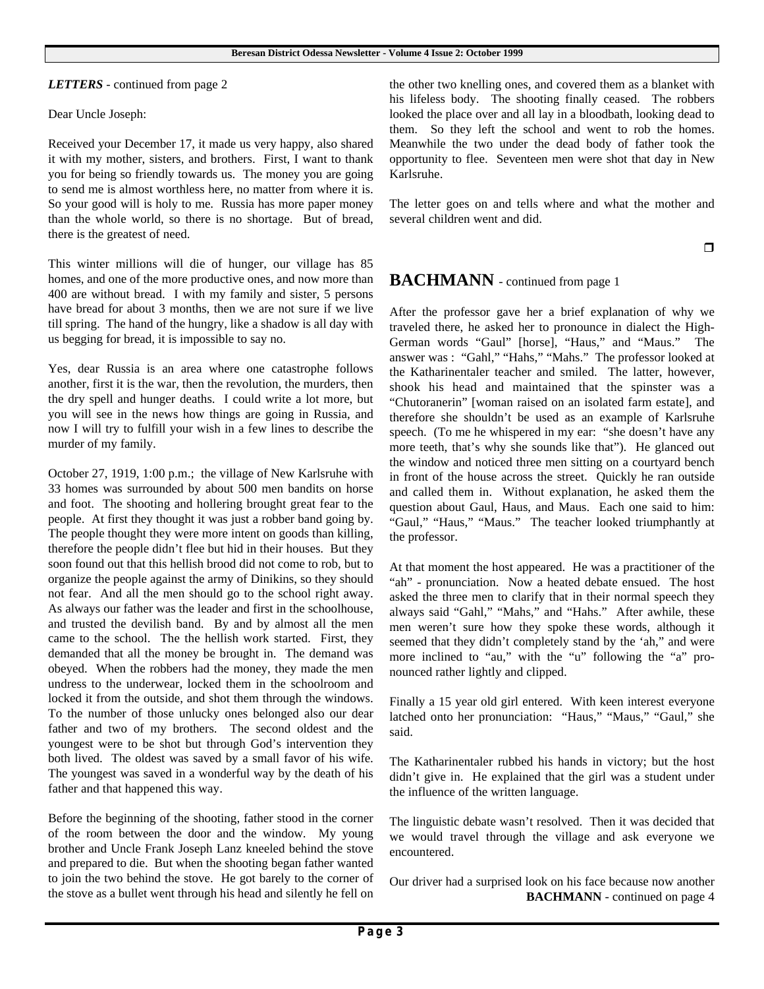*LETTERS* - continued from page 2

Dear Uncle Joseph:

Received your December 17, it made us very happy, also shared it with my mother, sisters, and brothers. First, I want to thank you for being so friendly towards us. The money you are going to send me is almost worthless here, no matter from where it is. So your good will is holy to me. Russia has more paper money than the whole world, so there is no shortage. But of bread, there is the greatest of need.

This winter millions will die of hunger, our village has 85 homes, and one of the more productive ones, and now more than 400 are without bread. I with my family and sister, 5 persons have bread for about 3 months, then we are not sure if we live till spring. The hand of the hungry, like a shadow is all day with us begging for bread, it is impossible to say no.

Yes, dear Russia is an area where one catastrophe follows another, first it is the war, then the revolution, the murders, then the dry spell and hunger deaths. I could write a lot more, but you will see in the news how things are going in Russia, and now I will try to fulfill your wish in a few lines to describe the murder of my family.

October 27, 1919, 1:00 p.m.; the village of New Karlsruhe with 33 homes was surrounded by about 500 men bandits on horse and foot. The shooting and hollering brought great fear to the people. At first they thought it was just a robber band going by. The people thought they were more intent on goods than killing, therefore the people didn't flee but hid in their houses. But they soon found out that this hellish brood did not come to rob, but to organize the people against the army of Dinikins, so they should not fear. And all the men should go to the school right away. As always our father was the leader and first in the schoolhouse, and trusted the devilish band. By and by almost all the men came to the school. The the hellish work started. First, they demanded that all the money be brought in. The demand was obeyed. When the robbers had the money, they made the men undress to the underwear, locked them in the schoolroom and locked it from the outside, and shot them through the windows. To the number of those unlucky ones belonged also our dear father and two of my brothers. The second oldest and the youngest were to be shot but through God's intervention they both lived. The oldest was saved by a small favor of his wife. The youngest was saved in a wonderful way by the death of his father and that happened this way.

Before the beginning of the shooting, father stood in the corner of the room between the door and the window. My young brother and Uncle Frank Joseph Lanz kneeled behind the stove and prepared to die. But when the shooting began father wanted to join the two behind the stove. He got barely to the corner of the stove as a bullet went through his head and silently he fell on the other two knelling ones, and covered them as a blanket with his lifeless body. The shooting finally ceased. The robbers looked the place over and all lay in a bloodbath, looking dead to them. So they left the school and went to rob the homes. Meanwhile the two under the dead body of father took the opportunity to flee. Seventeen men were shot that day in New Karlsruhe.

The letter goes on and tells where and what the mother and several children went and did.

 $\Box$ 

### **BACHMANN** - continued from page 1

After the professor gave her a brief explanation of why we traveled there, he asked her to pronounce in dialect the High-German words "Gaul" [horse], "Haus," and "Maus." The answer was : "Gahl," "Hahs," "Mahs." The professor looked at the Katharinentaler teacher and smiled. The latter, however, shook his head and maintained that the spinster was a "Chutoranerin" [woman raised on an isolated farm estate], and therefore she shouldn't be used as an example of Karlsruhe speech. (To me he whispered in my ear: "she doesn't have any more teeth, that's why she sounds like that"). He glanced out the window and noticed three men sitting on a courtyard bench in front of the house across the street. Quickly he ran outside and called them in. Without explanation, he asked them the question about Gaul, Haus, and Maus. Each one said to him: "Gaul," "Haus," "Maus." The teacher looked triumphantly at the professor.

At that moment the host appeared. He was a practitioner of the "ah" - pronunciation. Now a heated debate ensued. The host asked the three men to clarify that in their normal speech they always said "Gahl," "Mahs," and "Hahs." After awhile, these men weren't sure how they spoke these words, although it seemed that they didn't completely stand by the 'ah," and were more inclined to "au," with the "u" following the "a" pronounced rather lightly and clipped.

Finally a 15 year old girl entered. With keen interest everyone latched onto her pronunciation: "Haus," "Maus," "Gaul," she said.

The Katharinentaler rubbed his hands in victory; but the host didn't give in. He explained that the girl was a student under the influence of the written language.

The linguistic debate wasn't resolved. Then it was decided that we would travel through the village and ask everyone we encountered.

Our driver had a surprised look on his face because now another **BACHMANN** - continued on page 4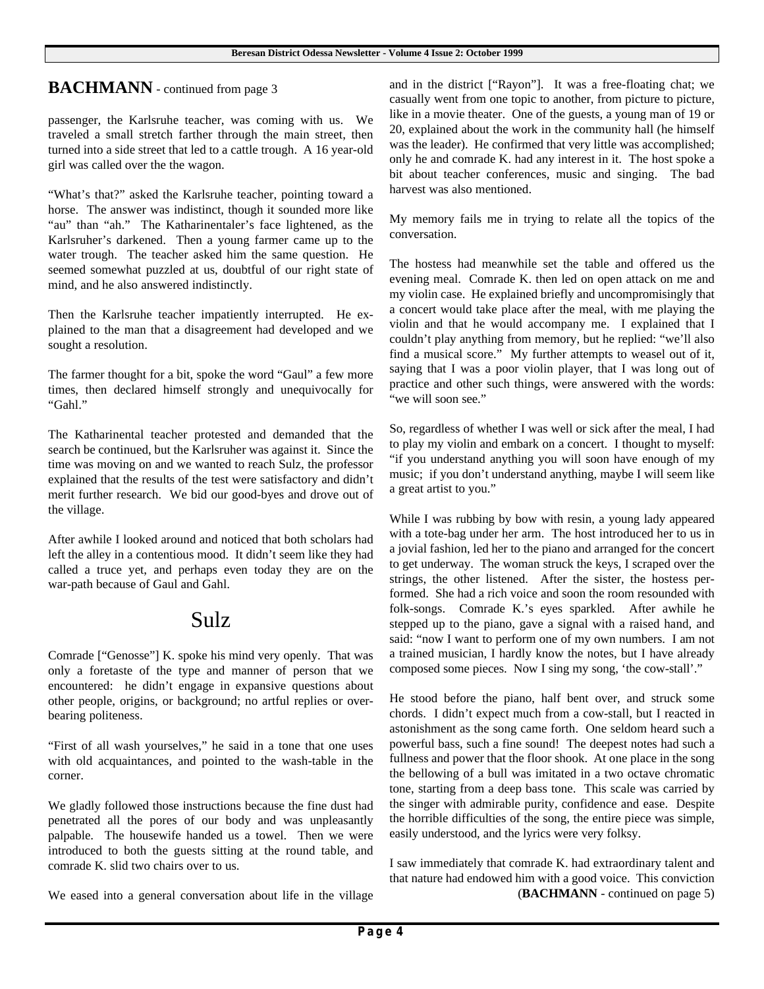# **BACHMANN** - continued from page 3

passenger, the Karlsruhe teacher, was coming with us. We traveled a small stretch farther through the main street, then turned into a side street that led to a cattle trough. A 16 year-old girl was called over the the wagon.

"What's that?" asked the Karlsruhe teacher, pointing toward a horse. The answer was indistinct, though it sounded more like "au" than "ah." The Katharinentaler's face lightened, as the Karlsruher's darkened. Then a young farmer came up to the water trough. The teacher asked him the same question. He seemed somewhat puzzled at us, doubtful of our right state of mind, and he also answered indistinctly.

Then the Karlsruhe teacher impatiently interrupted. He explained to the man that a disagreement had developed and we sought a resolution.

The farmer thought for a bit, spoke the word "Gaul" a few more times, then declared himself strongly and unequivocally for "Gahl."

The Katharinental teacher protested and demanded that the search be continued, but the Karlsruher was against it. Since the time was moving on and we wanted to reach Sulz, the professor explained that the results of the test were satisfactory and didn't merit further research. We bid our good-byes and drove out of the village.

After awhile I looked around and noticed that both scholars had left the alley in a contentious mood. It didn't seem like they had called a truce yet, and perhaps even today they are on the war-path because of Gaul and Gahl.

# Sulz

Comrade ["Genosse"] K. spoke his mind very openly. That was only a foretaste of the type and manner of person that we encountered: he didn't engage in expansive questions about other people, origins, or background; no artful replies or overbearing politeness.

"First of all wash yourselves," he said in a tone that one uses with old acquaintances, and pointed to the wash-table in the corner.

We gladly followed those instructions because the fine dust had penetrated all the pores of our body and was unpleasantly palpable. The housewife handed us a towel. Then we were introduced to both the guests sitting at the round table, and comrade K. slid two chairs over to us.

We eased into a general conversation about life in the village

and in the district ["Rayon"]. It was a free-floating chat; we casually went from one topic to another, from picture to picture, like in a movie theater. One of the guests, a young man of 19 or 20, explained about the work in the community hall (he himself was the leader). He confirmed that very little was accomplished; only he and comrade K. had any interest in it. The host spoke a bit about teacher conferences, music and singing. The bad harvest was also mentioned.

My memory fails me in trying to relate all the topics of the conversation.

The hostess had meanwhile set the table and offered us the evening meal. Comrade K. then led on open attack on me and my violin case. He explained briefly and uncompromisingly that a concert would take place after the meal, with me playing the violin and that he would accompany me. I explained that I couldn't play anything from memory, but he replied: "we'll also find a musical score." My further attempts to weasel out of it, saying that I was a poor violin player, that I was long out of practice and other such things, were answered with the words: "we will soon see."

So, regardless of whether I was well or sick after the meal, I had to play my violin and embark on a concert. I thought to myself: "if you understand anything you will soon have enough of my music; if you don't understand anything, maybe I will seem like a great artist to you."

While I was rubbing by bow with resin, a young lady appeared with a tote-bag under her arm. The host introduced her to us in a jovial fashion, led her to the piano and arranged for the concert to get underway. The woman struck the keys, I scraped over the strings, the other listened. After the sister, the hostess performed. She had a rich voice and soon the room resounded with folk-songs. Comrade K.'s eyes sparkled. After awhile he stepped up to the piano, gave a signal with a raised hand, and said: "now I want to perform one of my own numbers. I am not a trained musician, I hardly know the notes, but I have already composed some pieces. Now I sing my song, 'the cow-stall'."

He stood before the piano, half bent over, and struck some chords. I didn't expect much from a cow-stall, but I reacted in astonishment as the song came forth. One seldom heard such a powerful bass, such a fine sound! The deepest notes had such a fullness and power that the floor shook. At one place in the song the bellowing of a bull was imitated in a two octave chromatic tone, starting from a deep bass tone. This scale was carried by the singer with admirable purity, confidence and ease. Despite the horrible difficulties of the song, the entire piece was simple, easily understood, and the lyrics were very folksy.

I saw immediately that comrade K. had extraordinary talent and that nature had endowed him with a good voice. This conviction (**BACHMANN** - continued on page 5)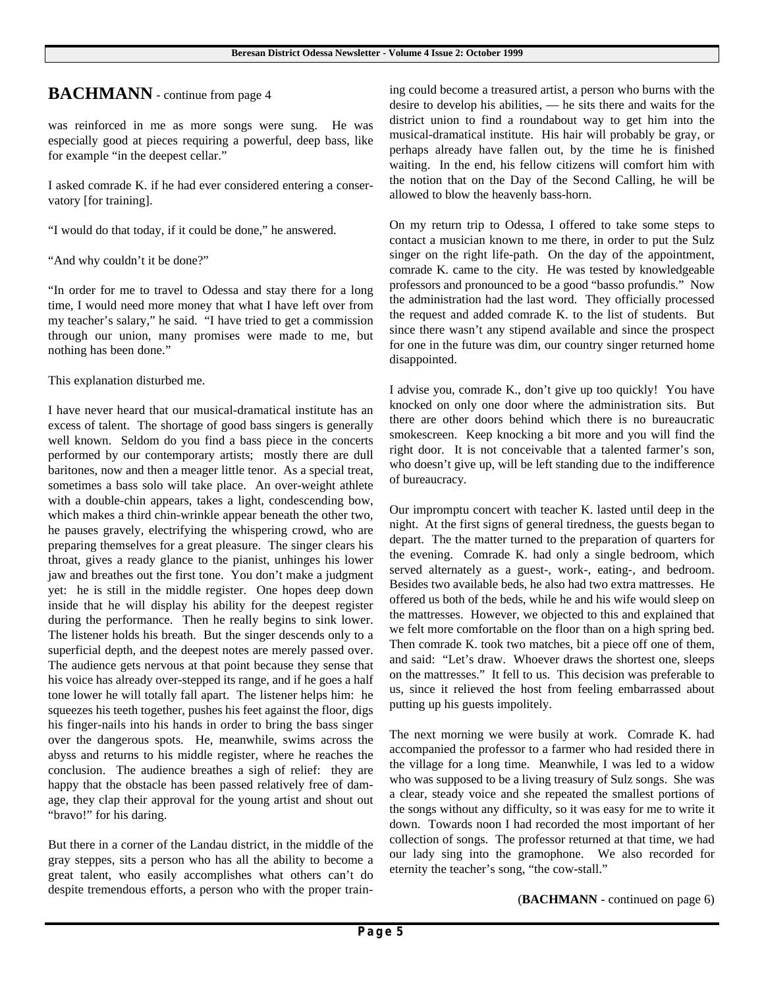## **BACHMANN** - continue from page 4

was reinforced in me as more songs were sung. He was especially good at pieces requiring a powerful, deep bass, like for example "in the deepest cellar."

I asked comrade K. if he had ever considered entering a conservatory [for training].

"I would do that today, if it could be done," he answered.

"And why couldn't it be done?"

"In order for me to travel to Odessa and stay there for a long time, I would need more money that what I have left over from my teacher's salary," he said. "I have tried to get a commission through our union, many promises were made to me, but nothing has been done."

This explanation disturbed me.

I have never heard that our musical-dramatical institute has an excess of talent. The shortage of good bass singers is generally well known. Seldom do you find a bass piece in the concerts performed by our contemporary artists; mostly there are dull baritones, now and then a meager little tenor. As a special treat, sometimes a bass solo will take place. An over-weight athlete with a double-chin appears, takes a light, condescending bow, which makes a third chin-wrinkle appear beneath the other two, he pauses gravely, electrifying the whispering crowd, who are preparing themselves for a great pleasure. The singer clears his throat, gives a ready glance to the pianist, unhinges his lower jaw and breathes out the first tone. You don't make a judgment yet: he is still in the middle register. One hopes deep down inside that he will display his ability for the deepest register during the performance. Then he really begins to sink lower. The listener holds his breath. But the singer descends only to a superficial depth, and the deepest notes are merely passed over. The audience gets nervous at that point because they sense that his voice has already over-stepped its range, and if he goes a half tone lower he will totally fall apart. The listener helps him: he squeezes his teeth together, pushes his feet against the floor, digs his finger-nails into his hands in order to bring the bass singer over the dangerous spots. He, meanwhile, swims across the abyss and returns to his middle register, where he reaches the conclusion. The audience breathes a sigh of relief: they are happy that the obstacle has been passed relatively free of damage, they clap their approval for the young artist and shout out "bravo!" for his daring.

But there in a corner of the Landau district, in the middle of the gray steppes, sits a person who has all the ability to become a great talent, who easily accomplishes what others can't do despite tremendous efforts, a person who with the proper training could become a treasured artist, a person who burns with the desire to develop his abilities, — he sits there and waits for the district union to find a roundabout way to get him into the musical-dramatical institute. His hair will probably be gray, or perhaps already have fallen out, by the time he is finished waiting. In the end, his fellow citizens will comfort him with the notion that on the Day of the Second Calling, he will be allowed to blow the heavenly bass-horn.

On my return trip to Odessa, I offered to take some steps to contact a musician known to me there, in order to put the Sulz singer on the right life-path. On the day of the appointment, comrade K. came to the city. He was tested by knowledgeable professors and pronounced to be a good "basso profundis." Now the administration had the last word. They officially processed the request and added comrade K. to the list of students. But since there wasn't any stipend available and since the prospect for one in the future was dim, our country singer returned home disappointed.

I advise you, comrade K., don't give up too quickly! You have knocked on only one door where the administration sits. But there are other doors behind which there is no bureaucratic smokescreen. Keep knocking a bit more and you will find the right door. It is not conceivable that a talented farmer's son, who doesn't give up, will be left standing due to the indifference of bureaucracy.

Our impromptu concert with teacher K. lasted until deep in the night. At the first signs of general tiredness, the guests began to depart. The the matter turned to the preparation of quarters for the evening. Comrade K. had only a single bedroom, which served alternately as a guest-, work-, eating-, and bedroom. Besides two available beds, he also had two extra mattresses. He offered us both of the beds, while he and his wife would sleep on the mattresses. However, we objected to this and explained that we felt more comfortable on the floor than on a high spring bed. Then comrade K. took two matches, bit a piece off one of them, and said: "Let's draw. Whoever draws the shortest one, sleeps on the mattresses." It fell to us. This decision was preferable to us, since it relieved the host from feeling embarrassed about putting up his guests impolitely.

The next morning we were busily at work. Comrade K. had accompanied the professor to a farmer who had resided there in the village for a long time. Meanwhile, I was led to a widow who was supposed to be a living treasury of Sulz songs. She was a clear, steady voice and she repeated the smallest portions of the songs without any difficulty, so it was easy for me to write it down. Towards noon I had recorded the most important of her collection of songs. The professor returned at that time, we had our lady sing into the gramophone. We also recorded for eternity the teacher's song, "the cow-stall."

(**BACHMANN** - continued on page 6)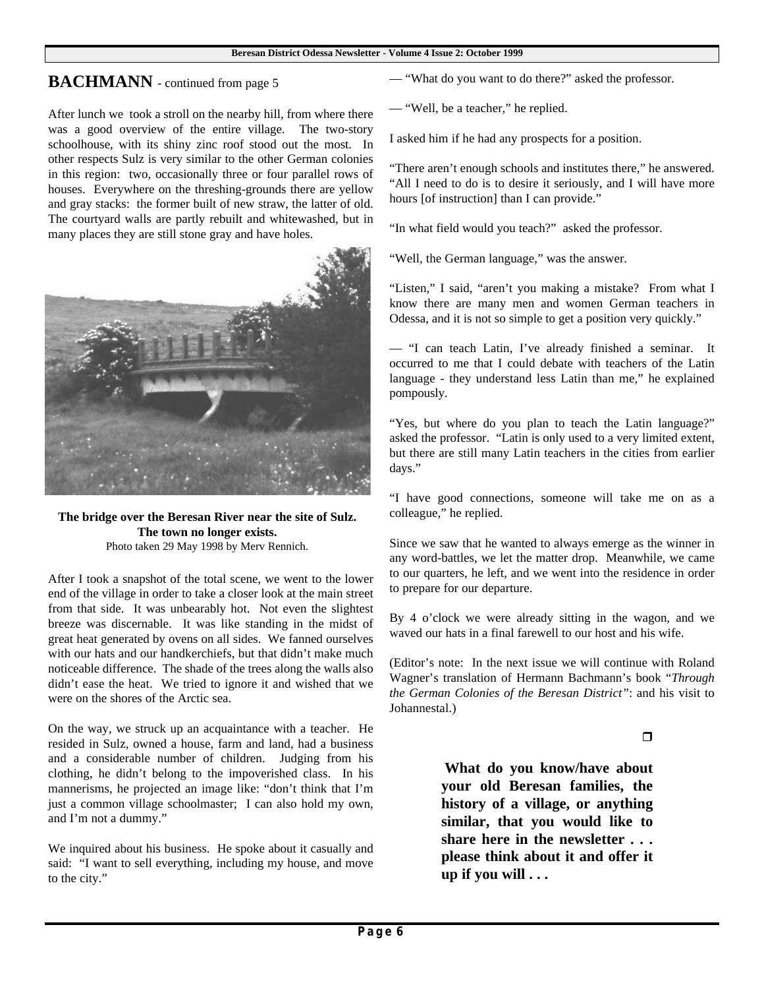## **BACHMANN** - continued from page 5

After lunch we took a stroll on the nearby hill, from where there was a good overview of the entire village. The two-story schoolhouse, with its shiny zinc roof stood out the most. In other respects Sulz is very similar to the other German colonies in this region: two, occasionally three or four parallel rows of houses. Everywhere on the threshing-grounds there are yellow and gray stacks: the former built of new straw, the latter of old. The courtyard walls are partly rebuilt and whitewashed, but in many places they are still stone gray and have holes.



**The bridge over the Beresan River near the site of Sulz. The town no longer exists.** Photo taken 29 May 1998 by Merv Rennich.

After I took a snapshot of the total scene, we went to the lower end of the village in order to take a closer look at the main street from that side. It was unbearably hot. Not even the slightest breeze was discernable. It was like standing in the midst of great heat generated by ovens on all sides. We fanned ourselves with our hats and our handkerchiefs, but that didn't make much noticeable difference. The shade of the trees along the walls also didn't ease the heat. We tried to ignore it and wished that we were on the shores of the Arctic sea.

On the way, we struck up an acquaintance with a teacher. He resided in Sulz, owned a house, farm and land, had a business and a considerable number of children. Judging from his clothing, he didn't belong to the impoverished class. In his mannerisms, he projected an image like: "don't think that I'm just a common village schoolmaster; I can also hold my own, and I'm not a dummy."

We inquired about his business. He spoke about it casually and said: "I want to sell everything, including my house, and move to the city."

— "What do you want to do there?" asked the professor.

— "Well, be a teacher," he replied.

I asked him if he had any prospects for a position.

"There aren't enough schools and institutes there," he answered. "All I need to do is to desire it seriously, and I will have more hours [of instruction] than I can provide."

"In what field would you teach?" asked the professor.

"Well, the German language," was the answer.

"Listen," I said, "aren't you making a mistake? From what I know there are many men and women German teachers in Odessa, and it is not so simple to get a position very quickly."

— "I can teach Latin, I've already finished a seminar. It occurred to me that I could debate with teachers of the Latin language - they understand less Latin than me," he explained pompously.

"Yes, but where do you plan to teach the Latin language?" asked the professor. "Latin is only used to a very limited extent, but there are still many Latin teachers in the cities from earlier days."

"I have good connections, someone will take me on as a colleague," he replied.

Since we saw that he wanted to always emerge as the winner in any word-battles, we let the matter drop. Meanwhile, we came to our quarters, he left, and we went into the residence in order to prepare for our departure.

By 4 o'clock we were already sitting in the wagon, and we waved our hats in a final farewell to our host and his wife.

(Editor's note: In the next issue we will continue with Roland Wagner's translation of Hermann Bachmann's book "*Through the German Colonies of the Beresan District"*: and his visit to Johannestal.)

 $\Box$ 

**What do you know/have about your old Beresan families, the history of a village, or anything similar, that you would like to share here in the newsletter . . . please think about it and offer it up if you will . . .**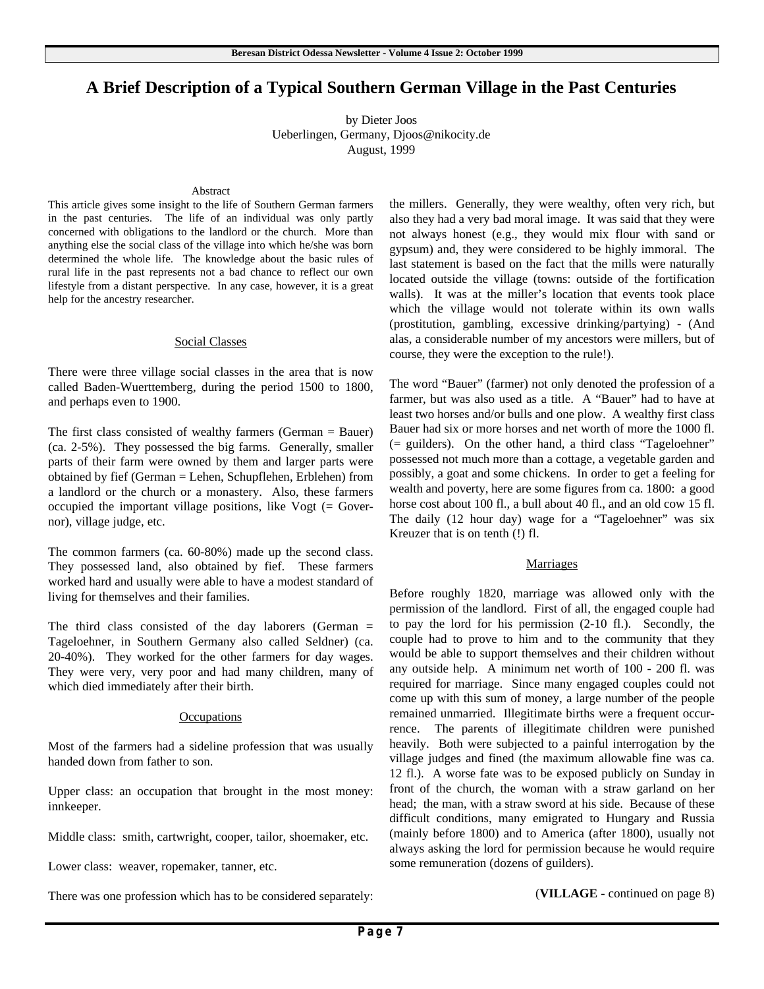# **A Brief Description of a Typical Southern German Village in the Past Centuries**

by Dieter Joos Ueberlingen, Germany, Djoos@nikocity.de August, 1999

#### Abstract

This article gives some insight to the life of Southern German farmers in the past centuries. The life of an individual was only partly concerned with obligations to the landlord or the church. More than anything else the social class of the village into which he/she was born determined the whole life. The knowledge about the basic rules of rural life in the past represents not a bad chance to reflect our own lifestyle from a distant perspective. In any case, however, it is a great help for the ancestry researcher.

#### Social Classes

There were three village social classes in the area that is now called Baden-Wuerttemberg, during the period 1500 to 1800, and perhaps even to 1900.

The first class consisted of wealthy farmers (German = Bauer) (ca. 2-5%). They possessed the big farms. Generally, smaller parts of their farm were owned by them and larger parts were obtained by fief (German = Lehen, Schupflehen, Erblehen) from a landlord or the church or a monastery. Also, these farmers occupied the important village positions, like Vogt (= Governor), village judge, etc.

The common farmers (ca. 60-80%) made up the second class. They possessed land, also obtained by fief. These farmers worked hard and usually were able to have a modest standard of living for themselves and their families.

The third class consisted of the day laborers (German  $=$ Tageloehner, in Southern Germany also called Seldner) (ca. 20-40%). They worked for the other farmers for day wages. They were very, very poor and had many children, many of which died immediately after their birth.

#### **Occupations**

Most of the farmers had a sideline profession that was usually handed down from father to son.

Upper class: an occupation that brought in the most money: innkeeper.

Middle class: smith, cartwright, cooper, tailor, shoemaker, etc.

Lower class: weaver, ropemaker, tanner, etc.

There was one profession which has to be considered separately:

the millers. Generally, they were wealthy, often very rich, but also they had a very bad moral image. It was said that they were not always honest (e.g., they would mix flour with sand or gypsum) and, they were considered to be highly immoral. The last statement is based on the fact that the mills were naturally located outside the village (towns: outside of the fortification walls). It was at the miller's location that events took place which the village would not tolerate within its own walls (prostitution, gambling, excessive drinking/partying) - (And alas, a considerable number of my ancestors were millers, but of course, they were the exception to the rule!).

The word "Bauer" (farmer) not only denoted the profession of a farmer, but was also used as a title. A "Bauer" had to have at least two horses and/or bulls and one plow. A wealthy first class Bauer had six or more horses and net worth of more the 1000 fl. (= guilders). On the other hand, a third class "Tageloehner" possessed not much more than a cottage, a vegetable garden and possibly, a goat and some chickens. In order to get a feeling for wealth and poverty, here are some figures from ca. 1800: a good horse cost about 100 fl., a bull about 40 fl., and an old cow 15 fl. The daily (12 hour day) wage for a "Tageloehner" was six Kreuzer that is on tenth (!) fl.

#### **Marriages**

Before roughly 1820, marriage was allowed only with the permission of the landlord. First of all, the engaged couple had to pay the lord for his permission (2-10 fl.). Secondly, the couple had to prove to him and to the community that they would be able to support themselves and their children without any outside help. A minimum net worth of 100 - 200 fl. was required for marriage. Since many engaged couples could not come up with this sum of money, a large number of the people remained unmarried. Illegitimate births were a frequent occurrence. The parents of illegitimate children were punished heavily. Both were subjected to a painful interrogation by the village judges and fined (the maximum allowable fine was ca. 12 fl.). A worse fate was to be exposed publicly on Sunday in front of the church, the woman with a straw garland on her head; the man, with a straw sword at his side. Because of these difficult conditions, many emigrated to Hungary and Russia (mainly before 1800) and to America (after 1800), usually not always asking the lord for permission because he would require some remuneration (dozens of guilders).

(**VILLAGE** - continued on page 8)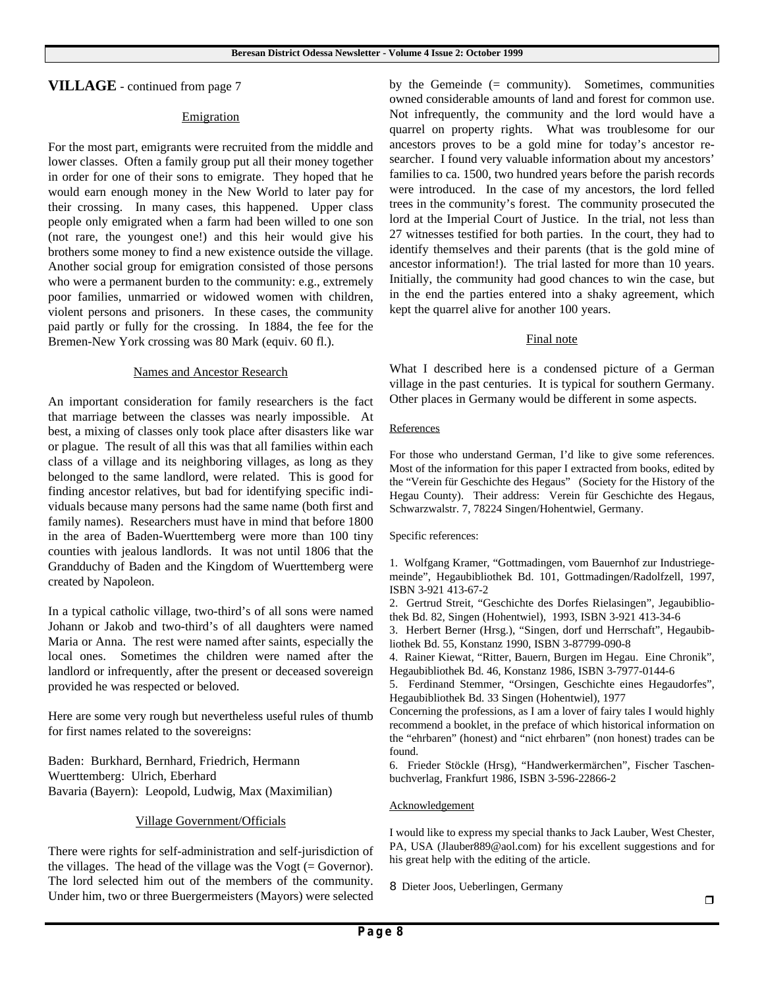**VILLAGE** - continued from page 7

#### **Emigration**

For the most part, emigrants were recruited from the middle and lower classes. Often a family group put all their money together in order for one of their sons to emigrate. They hoped that he would earn enough money in the New World to later pay for their crossing. In many cases, this happened. Upper class people only emigrated when a farm had been willed to one son (not rare, the youngest one!) and this heir would give his brothers some money to find a new existence outside the village. Another social group for emigration consisted of those persons who were a permanent burden to the community: e.g., extremely poor families, unmarried or widowed women with children, violent persons and prisoners. In these cases, the community paid partly or fully for the crossing. In 1884, the fee for the Bremen-New York crossing was 80 Mark (equiv. 60 fl.).

#### Names and Ancestor Research

An important consideration for family researchers is the fact that marriage between the classes was nearly impossible. At best, a mixing of classes only took place after disasters like war or plague. The result of all this was that all families within each class of a village and its neighboring villages, as long as they belonged to the same landlord, were related. This is good for finding ancestor relatives, but bad for identifying specific individuals because many persons had the same name (both first and family names). Researchers must have in mind that before 1800 in the area of Baden-Wuerttemberg were more than 100 tiny counties with jealous landlords. It was not until 1806 that the Grandduchy of Baden and the Kingdom of Wuerttemberg were created by Napoleon.

In a typical catholic village, two-third's of all sons were named Johann or Jakob and two-third's of all daughters were named Maria or Anna. The rest were named after saints, especially the local ones. Sometimes the children were named after the landlord or infrequently, after the present or deceased sovereign provided he was respected or beloved.

Here are some very rough but nevertheless useful rules of thumb for first names related to the sovereigns:

Baden: Burkhard, Bernhard, Friedrich, Hermann Wuerttemberg: Ulrich, Eberhard Bavaria (Bayern): Leopold, Ludwig, Max (Maximilian)

#### Village Government/Officials

There were rights for self-administration and self-jurisdiction of the villages. The head of the village was the  $V$ ogt (= Governor). The lord selected him out of the members of the community. Under him, two or three Buergermeisters (Mayors) were selected by the Gemeinde  $(=$  community). Sometimes, communities owned considerable amounts of land and forest for common use. Not infrequently, the community and the lord would have a quarrel on property rights. What was troublesome for our ancestors proves to be a gold mine for today's ancestor researcher. I found very valuable information about my ancestors' families to ca. 1500, two hundred years before the parish records were introduced. In the case of my ancestors, the lord felled trees in the community's forest. The community prosecuted the lord at the Imperial Court of Justice. In the trial, not less than 27 witnesses testified for both parties. In the court, they had to identify themselves and their parents (that is the gold mine of ancestor information!). The trial lasted for more than 10 years. Initially, the community had good chances to win the case, but in the end the parties entered into a shaky agreement, which kept the quarrel alive for another 100 years.

#### Final note

What I described here is a condensed picture of a German village in the past centuries. It is typical for southern Germany. Other places in Germany would be different in some aspects.

#### References

For those who understand German, I'd like to give some references. Most of the information for this paper I extracted from books, edited by the "Verein für Geschichte des Hegaus" (Society for the History of the Hegau County). Their address: Verein für Geschichte des Hegaus, Schwarzwalstr. 7, 78224 Singen/Hohentwiel, Germany.

#### Specific references:

1. Wolfgang Kramer, "Gottmadingen, vom Bauernhof zur Industriegemeinde", Hegaubibliothek Bd. 101, Gottmadingen/Radolfzell, 1997, ISBN 3-921 413-67-2

2. Gertrud Streit, "Geschichte des Dorfes Rielasingen", Jegaubibliothek Bd. 82, Singen (Hohentwiel), 1993, ISBN 3-921 413-34-6

3. Herbert Berner (Hrsg.), "Singen, dorf und Herrschaft", Hegaubibliothek Bd. 55, Konstanz 1990, ISBN 3-87799-090-8

4. Rainer Kiewat, "Ritter, Bauern, Burgen im Hegau. Eine Chronik", Hegaubibliothek Bd. 46, Konstanz 1986, ISBN 3-7977-0144-6

5. Ferdinand Stemmer, "Orsingen, Geschichte eines Hegaudorfes", Hegaubibliothek Bd. 33 Singen (Hohentwiel), 1977

Concerning the professions, as I am a lover of fairy tales I would highly recommend a booklet, in the preface of which historical information on the "ehrbaren" (honest) and "nict ehrbaren" (non honest) trades can be found.

6. Frieder Stöckle (Hrsg), "Handwerkermärchen", Fischer Taschenbuchverlag, Frankfurt 1986, ISBN 3-596-22866-2

#### **Acknowledgement**

I would like to express my special thanks to Jack Lauber, West Chester, PA, USA (Jlauber889@aol.com) for his excellent suggestions and for his great help with the editing of the article.

8 Dieter Joos, Ueberlingen, Germany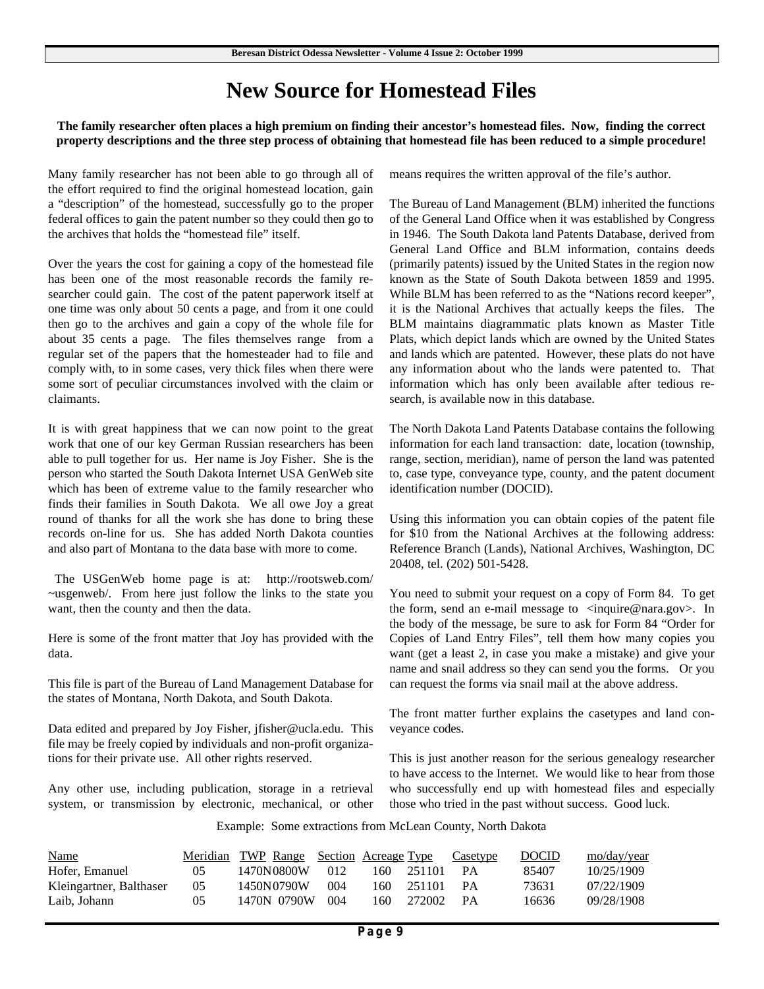# **New Source for Homestead Files**

**The family researcher often places a high premium on finding their ancestor's homestead files. Now, finding the correct property descriptions and the three step process of obtaining that homestead file has been reduced to a simple procedure!**

Many family researcher has not been able to go through all of the effort required to find the original homestead location, gain a "description" of the homestead, successfully go to the proper federal offices to gain the patent number so they could then go to the archives that holds the "homestead file" itself.

Over the years the cost for gaining a copy of the homestead file has been one of the most reasonable records the family researcher could gain. The cost of the patent paperwork itself at one time was only about 50 cents a page, and from it one could then go to the archives and gain a copy of the whole file for about 35 cents a page. The files themselves range from a regular set of the papers that the homesteader had to file and comply with, to in some cases, very thick files when there were some sort of peculiar circumstances involved with the claim or claimants.

It is with great happiness that we can now point to the great work that one of our key German Russian researchers has been able to pull together for us. Her name is Joy Fisher. She is the person who started the South Dakota Internet USA GenWeb site which has been of extreme value to the family researcher who finds their families in South Dakota. We all owe Joy a great round of thanks for all the work she has done to bring these records on-line for us. She has added North Dakota counties and also part of Montana to the data base with more to come.

 The USGenWeb home page is at: http://rootsweb.com/ ~usgenweb/. From here just follow the links to the state you want, then the county and then the data.

Here is some of the front matter that Joy has provided with the data.

This file is part of the Bureau of Land Management Database for the states of Montana, North Dakota, and South Dakota.

Data edited and prepared by Joy Fisher, jfisher@ucla.edu. This file may be freely copied by individuals and non-profit organizations for their private use. All other rights reserved.

Any other use, including publication, storage in a retrieval system, or transmission by electronic, mechanical, or other means requires the written approval of the file's author.

The Bureau of Land Management (BLM) inherited the functions of the General Land Office when it was established by Congress in 1946. The South Dakota land Patents Database, derived from General Land Office and BLM information, contains deeds (primarily patents) issued by the United States in the region now known as the State of South Dakota between 1859 and 1995. While BLM has been referred to as the "Nations record keeper", it is the National Archives that actually keeps the files. The BLM maintains diagrammatic plats known as Master Title Plats, which depict lands which are owned by the United States and lands which are patented. However, these plats do not have any information about who the lands were patented to. That information which has only been available after tedious research, is available now in this database.

The North Dakota Land Patents Database contains the following information for each land transaction: date, location (township, range, section, meridian), name of person the land was patented to, case type, conveyance type, county, and the patent document identification number (DOCID).

Using this information you can obtain copies of the patent file for \$10 from the National Archives at the following address: Reference Branch (Lands), National Archives, Washington, DC 20408, tel. (202) 501-5428.

You need to submit your request on a copy of Form 84. To get the form, send an e-mail message to  $\langle \text{inquire} @ \text{nara.gov} \rangle$ . In the body of the message, be sure to ask for Form 84 "Order for Copies of Land Entry Files", tell them how many copies you want (get a least 2, in case you make a mistake) and give your name and snail address so they can send you the forms. Or you can request the forms via snail mail at the above address.

The front matter further explains the casetypes and land conveyance codes.

This is just another reason for the serious genealogy researcher to have access to the Internet. We would like to hear from those who successfully end up with homestead files and especially those who tried in the past without success. Good luck.

Example: Some extractions from McLean County, North Dakota

| <b>Name</b>             |                | <u>Meridian TWP Range Section Acreage Type</u> |     |      |        | Casetype | <b>DOCID</b> | mo/day/year |
|-------------------------|----------------|------------------------------------------------|-----|------|--------|----------|--------------|-------------|
| Hofer, Emanuel          | 05             | 1470N0800W                                     | 012 | 160. | 251101 | PА       | 85407        | 10/25/1909  |
| Kleingartner, Balthaser | 0 <sub>5</sub> | 1450N0790W                                     | 004 | 160. | 251101 | PА       | 73631        | 07/22/1909  |
| Laib. Johann            | 05             | 1470N 0790W                                    | 004 | 160. | 272002 | - PA     | 16636        | 09/28/1908  |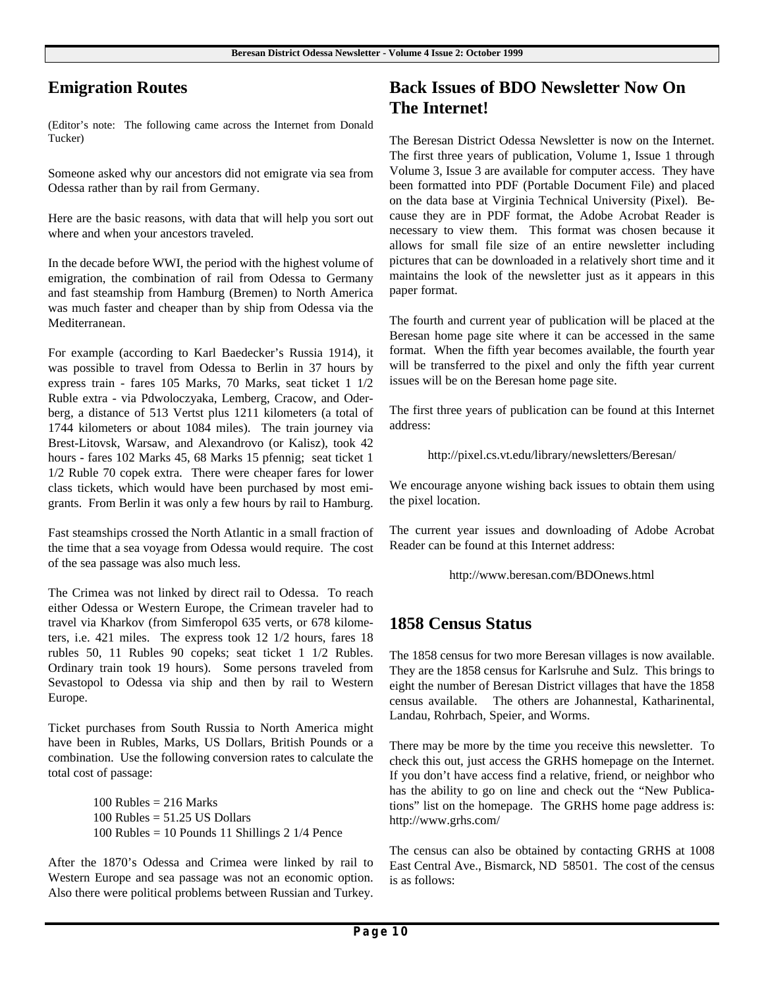# **Emigration Routes**

(Editor's note: The following came across the Internet from Donald Tucker)

Someone asked why our ancestors did not emigrate via sea from Odessa rather than by rail from Germany.

Here are the basic reasons, with data that will help you sort out where and when your ancestors traveled.

In the decade before WWI, the period with the highest volume of emigration, the combination of rail from Odessa to Germany and fast steamship from Hamburg (Bremen) to North America was much faster and cheaper than by ship from Odessa via the Mediterranean.

For example (according to Karl Baedecker's Russia 1914), it was possible to travel from Odessa to Berlin in 37 hours by express train - fares 105 Marks, 70 Marks, seat ticket 1 1/2 Ruble extra - via Pdwoloczyaka, Lemberg, Cracow, and Oderberg, a distance of 513 Vertst plus 1211 kilometers (a total of 1744 kilometers or about 1084 miles). The train journey via Brest-Litovsk, Warsaw, and Alexandrovo (or Kalisz), took 42 hours - fares 102 Marks 45, 68 Marks 15 pfennig; seat ticket 1 1/2 Ruble 70 copek extra. There were cheaper fares for lower class tickets, which would have been purchased by most emigrants. From Berlin it was only a few hours by rail to Hamburg.

Fast steamships crossed the North Atlantic in a small fraction of the time that a sea voyage from Odessa would require. The cost of the sea passage was also much less.

The Crimea was not linked by direct rail to Odessa. To reach either Odessa or Western Europe, the Crimean traveler had to travel via Kharkov (from Simferopol 635 verts, or 678 kilometers, i.e. 421 miles. The express took 12 1/2 hours, fares 18 rubles 50, 11 Rubles 90 copeks; seat ticket 1 1/2 Rubles. Ordinary train took 19 hours). Some persons traveled from Sevastopol to Odessa via ship and then by rail to Western Europe.

Ticket purchases from South Russia to North America might have been in Rubles, Marks, US Dollars, British Pounds or a combination. Use the following conversion rates to calculate the total cost of passage:

> $100$  Rubles = 216 Marks  $100$  Rubles =  $51.25$  US Dollars  $100$  Rubles = 10 Pounds 11 Shillings 2 1/4 Pence

After the 1870's Odessa and Crimea were linked by rail to Western Europe and sea passage was not an economic option. Also there were political problems between Russian and Turkey.

# **Back Issues of BDO Newsletter Now On The Internet!**

The Beresan District Odessa Newsletter is now on the Internet. The first three years of publication, Volume 1, Issue 1 through Volume 3, Issue 3 are available for computer access. They have been formatted into PDF (Portable Document File) and placed on the data base at Virginia Technical University (Pixel). Because they are in PDF format, the Adobe Acrobat Reader is necessary to view them. This format was chosen because it allows for small file size of an entire newsletter including pictures that can be downloaded in a relatively short time and it maintains the look of the newsletter just as it appears in this paper format.

The fourth and current year of publication will be placed at the Beresan home page site where it can be accessed in the same format. When the fifth year becomes available, the fourth year will be transferred to the pixel and only the fifth year current issues will be on the Beresan home page site.

The first three years of publication can be found at this Internet address:

http://pixel.cs.vt.edu/library/newsletters/Beresan/

We encourage anyone wishing back issues to obtain them using the pixel location.

The current year issues and downloading of Adobe Acrobat Reader can be found at this Internet address:

http://www.beresan.com/BDOnews.html

# **1858 Census Status**

The 1858 census for two more Beresan villages is now available. They are the 1858 census for Karlsruhe and Sulz. This brings to eight the number of Beresan District villages that have the 1858 census available. The others are Johannestal, Katharinental, Landau, Rohrbach, Speier, and Worms.

There may be more by the time you receive this newsletter. To check this out, just access the GRHS homepage on the Internet. If you don't have access find a relative, friend, or neighbor who has the ability to go on line and check out the "New Publications" list on the homepage. The GRHS home page address is: http://www.grhs.com/

The census can also be obtained by contacting GRHS at 1008 East Central Ave., Bismarck, ND 58501. The cost of the census is as follows: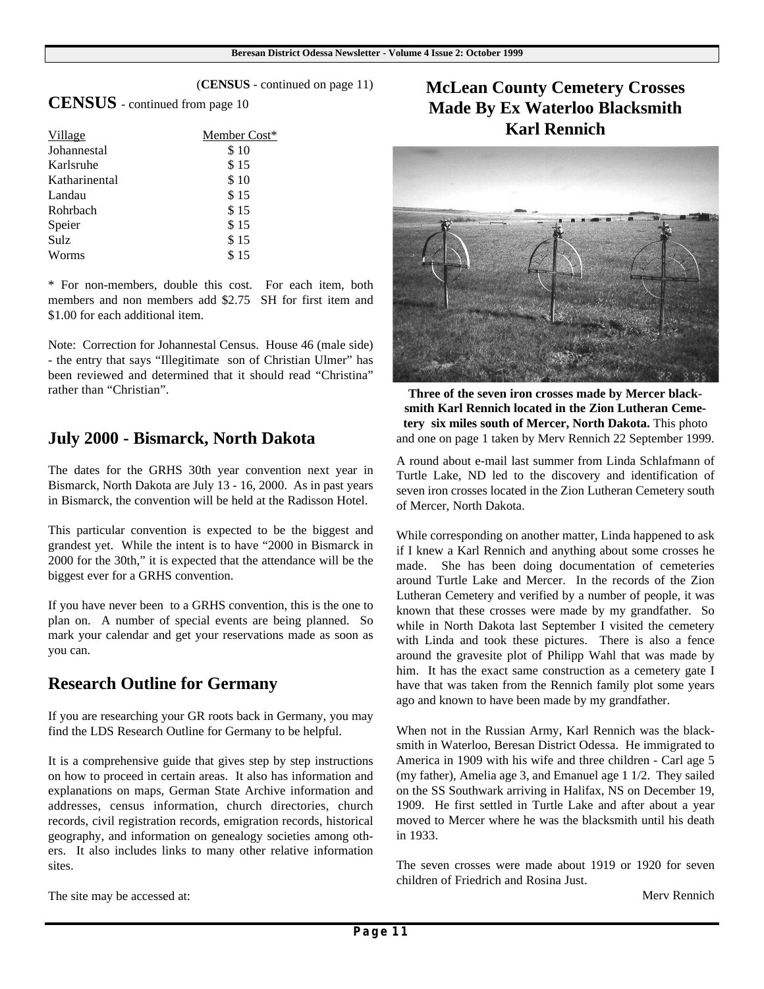#### (**CENSUS** - continued on page 11)

**CENSUS** - continued from page 10

| Village       | Member Cost* |
|---------------|--------------|
| Johannestal   | \$10         |
| Karlsruhe     | \$15         |
| Katharinental | \$10         |
| Landau        | \$15         |
| Rohrbach      | \$15         |
| Speier        | \$15         |
| Sulz          | \$15         |
| Worms         | \$15         |

\* For non-members, double this cost. For each item, both members and non members add \$2.75 SH for first item and \$1.00 for each additional item.

Note: Correction for Johannestal Census. House 46 (male side) - the entry that says "Illegitimate son of Christian Ulmer" has been reviewed and determined that it should read "Christina" rather than "Christian".

## **July 2000 - Bismarck, North Dakota**

The dates for the GRHS 30th year convention next year in Bismarck, North Dakota are July 13 - 16, 2000. As in past years in Bismarck, the convention will be held at the Radisson Hotel.

This particular convention is expected to be the biggest and grandest yet. While the intent is to have "2000 in Bismarck in 2000 for the 30th," it is expected that the attendance will be the biggest ever for a GRHS convention.

If you have never been to a GRHS convention, this is the one to plan on. A number of special events are being planned. So mark your calendar and get your reservations made as soon as you can.

## **Research Outline for Germany**

If you are researching your GR roots back in Germany, you may find the LDS Research Outline for Germany to be helpful.

It is a comprehensive guide that gives step by step instructions on how to proceed in certain areas. It also has information and explanations on maps, German State Archive information and addresses, census information, church directories, church records, civil registration records, emigration records, historical geography, and information on genealogy societies among others. It also includes links to many other relative information sites.

# **McLean County Cemetery Crosses Made By Ex Waterloo Blacksmith Karl Rennich**



**Three of the seven iron crosses made by Mercer blacksmith Karl Rennich located in the Zion Lutheran Cemetery six miles south of Mercer, North Dakota.** This photo and one on page 1 taken by Merv Rennich 22 September 1999.

A round about e-mail last summer from Linda Schlafmann of Turtle Lake, ND led to the discovery and identification of seven iron crosses located in the Zion Lutheran Cemetery south of Mercer, North Dakota.

While corresponding on another matter, Linda happened to ask if I knew a Karl Rennich and anything about some crosses he made. She has been doing documentation of cemeteries around Turtle Lake and Mercer. In the records of the Zion Lutheran Cemetery and verified by a number of people, it was known that these crosses were made by my grandfather. So while in North Dakota last September I visited the cemetery with Linda and took these pictures. There is also a fence around the gravesite plot of Philipp Wahl that was made by him. It has the exact same construction as a cemetery gate I have that was taken from the Rennich family plot some years ago and known to have been made by my grandfather.

When not in the Russian Army, Karl Rennich was the blacksmith in Waterloo, Beresan District Odessa. He immigrated to America in 1909 with his wife and three children - Carl age 5 (my father), Amelia age 3, and Emanuel age 1 1/2. They sailed on the SS Southwark arriving in Halifax, NS on December 19, 1909. He first settled in Turtle Lake and after about a year moved to Mercer where he was the blacksmith until his death in 1933.

The seven crosses were made about 1919 or 1920 for seven children of Friedrich and Rosina Just.

The site may be accessed at:

Merv Rennich